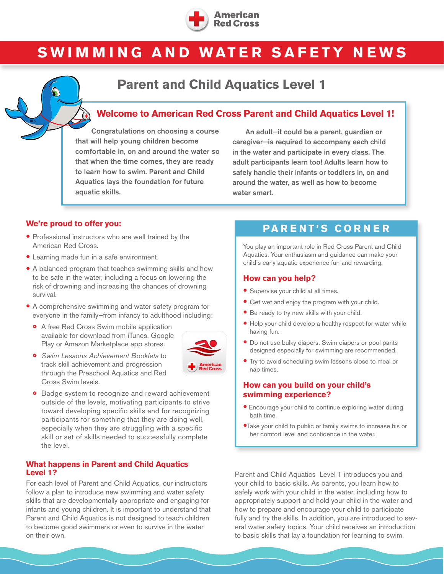

# **SWIMMING AND WATER SAFETY NEWS**

# **Parent and Child Aquatics Level 1**

### **Welcome to American Red Cross Parent and Child Aquatics Level 1!**

Congratulations on choosing a course that will help young children become comfortable in, on and around the water so that when the time comes, they are ready to learn how to swim. Parent and Child Aquatics lays the foundation for future aquatic skills.

An adult—it could be a parent, guardian or caregiver—is required to accompany each child in the water and participate in every class. The adult participants learn too! Adults learn how to safely handle their infants or toddlers in, on and around the water, as well as how to become water smart.

#### **We're proud to offer you:**

- Professional instructors who are well trained by the American Red Cross.
- Learning made fun in a safe environment.
- A balanced program that teaches swimming skills and how to be safe in the water, including a focus on lowering the risk of drowning and increasing the chances of drowning survival.
- A comprehensive swimming and water safety program for everyone in the family—from infancy to adulthood including:
	- ◦<sup>A</sup> free Red Cross Swim mobile application available for download from iTunes, Google Play or Amazon Marketplace app stores.



- *Swim Lessons Achievement Booklets* to track skill achievement and progression through the Preschool Aquatics and Red Cross Swim levels.
- ◦ Badge system to recognize and reward achievement outside of the levels, motivating participants to strive toward developing specific skills and for recognizing participants for something that they are doing well, especially when they are struggling with a specific skill or set of skills needed to successfully complete the level.

#### **What happens in Parent and Child Aquatics Level 1?**

For each level of Parent and Child Aquatics, our instructors follow a plan to introduce new swimming and water safety skills that are developmentally appropriate and engaging for infants and young children. It is important to understand that Parent and Child Aquatics is not designed to teach children to become good swimmers or even to survive in the water on their own.

# **PARENT'S CORNER**

You play an important role in Red Cross Parent and Child Aquatics. Your enthusiasm and guidance can make your child's early aquatic experience fun and rewarding.

#### **How can you help?**

- Supervise your child at all times.
- Get wet and enjoy the program with your child.
- Be ready to try new skills with your child.
- Help your child develop a healthy respect for water while having fun.
- Do not use bulky diapers. Swim diapers or pool pants designed especially for swimming are recommended.
- Try to avoid scheduling swim lessons close to meal or nap times.

#### **How can you build on your child's swimming experience?**

- Encourage your child to continue exploring water during bath time.
- •Take your child to public or family swims to increase his or her comfort level and confidence in the water.

Parent and Child Aquatics Level 1 introduces you and your child to basic skills. As parents, you learn how to safely work with your child in the water, including how to appropriately support and hold your child in the water and how to prepare and encourage your child to participate fully and try the skills. In addition, you are introduced to several water safety topics. Your child receives an introduction to basic skills that lay a foundation for learning to swim.